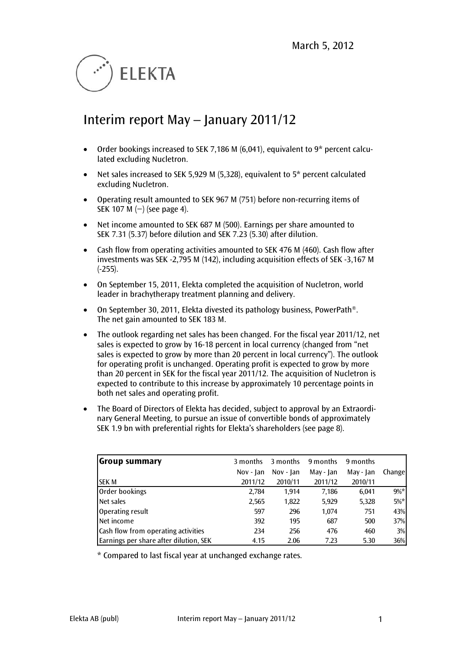

# Interim report May – January 2011/12

- Order bookings increased to SEK 7,186 M (6,041), equivalent to  $9*$  percent calculated excluding Nucletron.
- Net sales increased to SEK 5,929 M (5,328), equivalent to 5\* percent calculated excluding Nucletron.
- Operating result amounted to SEK 967 M (751) before non-recurring items of SEK 107 M (−) (see page 4).
- Net income amounted to SEK 687 M (500). Earnings per share amounted to SEK 7.31 (5.37) before dilution and SEK 7.23 (5.30) after dilution.
- Cash flow from operating activities amounted to SEK 476 M (460). Cash flow after investments was SEK -2,795 M (142), including acquisition effects of SEK -3,167 M  $(-255)$ .
- On September 15, 2011, Elekta completed the acquisition of Nucletron, world leader in brachytherapy treatment planning and delivery.
- On September 30, 2011, Elekta divested its pathology business, PowerPath®. The net gain amounted to SEK 183 M.
- The outlook regarding net sales has been changed. For the fiscal year 2011/12, net sales is expected to grow by 16-18 percent in local currency (changed from "net sales is expected to grow by more than 20 percent in local currency"). The outlook for operating profit is unchanged. Operating profit is expected to grow by more than 20 percent in SEK for the fiscal year 2011/12. The acquisition of Nucletron is expected to contribute to this increase by approximately 10 percentage points in both net sales and operating profit.
- The Board of Directors of Elekta has decided, subject to approval by an Extraordinary General Meeting, to pursue an issue of convertible bonds of approximately SEK 1.9 bn with preferential rights for Elekta's shareholders (see page 8).

| <b>Group summary</b>                   | 3 months    | 3 months    | 9 months  | 9 months  |        |
|----------------------------------------|-------------|-------------|-----------|-----------|--------|
|                                        | $Nov - Ian$ | $Nov - Jan$ | May - Jan | May - Jan | Change |
| ISEK M                                 | 2011/12     | 2010/11     | 2011/12   | 2010/11   |        |
| <b>Order bookings</b>                  | 2,784       | 1.914       | 7,186     | 6,041     | $9\%*$ |
| Net sales                              | 2,565       | 1,822       | 5,929     | 5,328     | $5\%*$ |
| Operating result                       | 597         | 296         | 1,074     | 751       | 43%    |
| Net income                             | 392         | 195         | 687       | 500       | 37%    |
| Cash flow from operating activities    | 234         | 256         | 476       | 460       | 3%     |
| Earnings per share after dilution, SEK | 4.15        | 2.06        | 7.23      | 5.30      | 36%    |

<span id="page-0-0"></span>\* Compared to last fiscal year at unchanged exchange rates.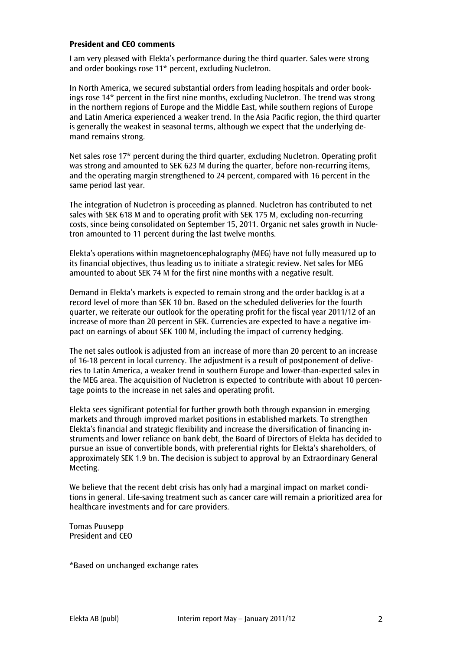#### **President and CEO comments**

I am very pleased with Elekta's performance during the third quarter. Sales were strong and order bookings rose 11\* percent, excluding Nucletron.

In North America, we secured substantial orders from leading hospitals and order bookings rose 14\* percent in the first nine months, excluding Nucletron. The trend was strong in the northern regions of Europe and the Middle East, while southern regions of Europe and Latin America experienced a weaker trend. In the Asia Pacific region, the third quarter is generally the weakest in seasonal terms, although we expect that the underlying demand remains strong.

Net sales rose 17\* percent during the third quarter, excluding Nucletron. Operating profit was strong and amounted to SEK 623 M during the quarter, before non-recurring items, and the operating margin strengthened to 24 percent, compared with 16 percent in the same period last year.

The integration of Nucletron is proceeding as planned. Nucletron has contributed to net sales with SEK 618 M and to operating profit with SEK 175 M, excluding non-recurring costs, since being consolidated on September 15, 2011. Organic net sales growth in Nucletron amounted to 11 percent during the last twelve months.

Elekta's operations within magnetoencephalography (MEG) have not fully measured up to its financial objectives, thus leading us to initiate a strategic review. Net sales for MEG amounted to about SEK 74 M for the first nine months with a negative result.

Demand in Elekta's markets is expected to remain strong and the order backlog is at a record level of more than SEK 10 bn. Based on the scheduled deliveries for the fourth quarter, we reiterate our outlook for the operating profit for the fiscal year 2011/12 of an increase of more than 20 percent in SEK. Currencies are expected to have a negative impact on earnings of about SEK 100 M, including the impact of currency hedging.

The net sales outlook is adjusted from an increase of more than 20 percent to an increase of 16-18 percent in local currency. The adjustment is a result of postponement of deliveries to Latin America, a weaker trend in southern Europe and lower-than-expected sales in the MEG area. The acquisition of Nucletron is expected to contribute with about 10 percentage points to the increase in net sales and operating profit.

Elekta sees significant potential for further growth both through expansion in emerging markets and through improved market positions in established markets. To strengthen Elekta's financial and strategic flexibility and increase the diversification of financing instruments and lower reliance on bank debt, the Board of Directors of Elekta has decided to pursue an issue of convertible bonds, with preferential rights for Elekta's shareholders, of approximately SEK 1.9 bn. The decision is subject to approval by an Extraordinary General Meeting.

We believe that the recent debt crisis has only had a marginal impact on market conditions in general. Life-saving treatment such as cancer care will remain a prioritized area for healthcare investments and for care providers.

Tomas Puusepp President and CEO

\*Based on unchanged exchange rates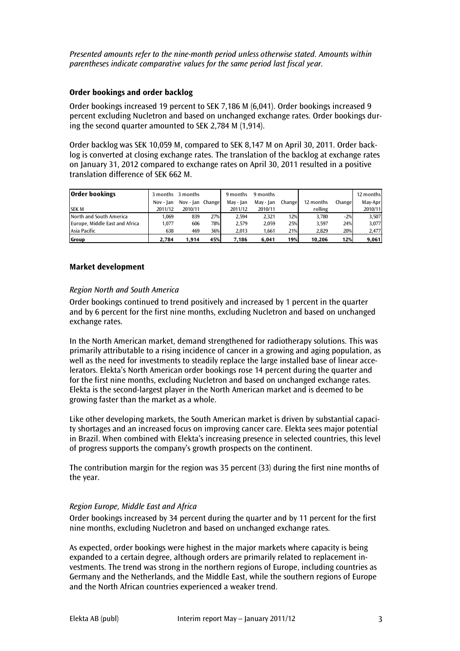*Presented amounts refer to the nine-month period unless otherwise stated. Amounts within parentheses indicate comparative values for the same period last fiscal year.*

#### **Order bookings and order backlog**

Order bookings increased 19 percent to SEK 7,186 M (6,041). Order bookings increased 9 percent excluding Nucletron and based on unchanged exchange rates. Order bookings during the second quarter amounted to SEK 2,784 M (1,914).

Order backlog was SEK 10,059 M, compared to SEK 8,147 M on April 30, 2011. Order backlog is converted at closing exchange rates. The translation of the backlog at exchange rates on January 31, 2012 compared to exchange rates on April 30, 2011 resulted in a positive translation difference of SEK 662 M.

| <b>Order bookings</b>          | 3 months  | 3 months         |     | 9 months  | 9 months  |        |           |        | 12 months |
|--------------------------------|-----------|------------------|-----|-----------|-----------|--------|-----------|--------|-----------|
|                                | Nov - Ian | Nov - Jan Change |     | May - Ian | May - Ian | Change | 12 months | Change | May-Apr   |
| <b>SEKM</b>                    | 2011/12   | 2010/11          |     | 2011/12   | 2010/11   |        | rolling   |        | 2010/11   |
| North and South America        | 1.069     | 839              | 27% | 2.594     | 2.321     | 12%    | 3.780     | $-2%$  | 3.507     |
| Europe, Middle East and Africa | .077      | 606              | 78% | 2.579     | 2.059     | 25%    | 3.597     | 24%    | 3,077     |
| Asia Pacific                   | 638       | 469              | 36% | 2.013     | 1.661     | 21%    | 2.829     | 20%    | 2,477     |
| Group                          | 2.784     | 1.914            | 45% | 7.186     | 6.041     | 19%    | 10.206    | 12%    | 9,061     |

### **Market development**

#### *Region North and South America*

Order bookings continued to trend positively and increased by 1 percent in the quarter and by 6 percent for the first nine months, excluding Nucletron and based on unchanged exchange rates.

In the North American market, demand strengthened for radiotherapy solutions. This was primarily attributable to a rising incidence of cancer in a growing and aging population, as well as the need for investments to steadily replace the large installed base of linear accelerators. Elekta's North American order bookings rose 14 percent during the quarter and for the first nine months, excluding Nucletron and based on unchanged exchange rates. Elekta is the second-largest player in the North American market and is deemed to be growing faster than the market as a whole.

Like other developing markets, the South American market is driven by substantial capacity shortages and an increased focus on improving cancer care. Elekta sees major potential in Brazil. When combined with Elekta's increasing presence in selected countries, this level of progress supports the company's growth prospects on the continent.

The contribution margin for the region was 35 percent (33) during the first nine months of the year.

#### *Region Europe, Middle East and Africa*

Order bookings increased by 34 percent during the quarter and by 11 percent for the first nine months, excluding Nucletron and based on unchanged exchange rates.

As expected, order bookings were highest in the major markets where capacity is being expanded to a certain degree, although orders are primarily related to replacement investments. The trend was strong in the northern regions of Europe, including countries as Germany and the Netherlands, and the Middle East, while the southern regions of Europe and the North African countries experienced a weaker trend.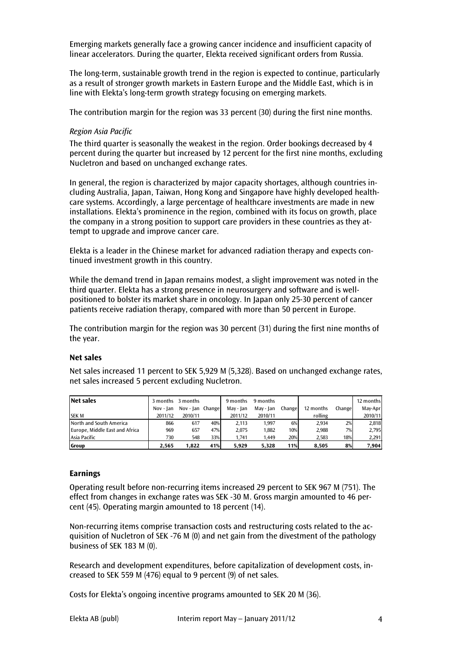Emerging markets generally face a growing cancer incidence and insufficient capacity of linear accelerators. During the quarter, Elekta received significant orders from Russia.

The long-term, sustainable growth trend in the region is expected to continue, particularly as a result of stronger growth markets in Eastern Europe and the Middle East, which is in line with Elekta's long-term growth strategy focusing on emerging markets.

The contribution margin for the region was 33 percent (30) during the first nine months.

#### *Region Asia Pacific*

The third quarter is seasonally the weakest in the region. Order bookings decreased by 4 percent during the quarter but increased by 12 percent for the first nine months, excluding Nucletron and based on unchanged exchange rates.

In general, the region is characterized by major capacity shortages, although countries including Australia, Japan, Taiwan, Hong Kong and Singapore have highly developed healthcare systems. Accordingly, a large percentage of healthcare investments are made in new installations. Elekta's prominence in the region, combined with its focus on growth, place the company in a strong position to support care providers in these countries as they attempt to upgrade and improve cancer care.

Elekta is a leader in the Chinese market for advanced radiation therapy and expects continued investment growth in this country.

While the demand trend in Japan remains modest, a slight improvement was noted in the third quarter. Elekta has a strong presence in neurosurgery and software and is wellpositioned to bolster its market share in oncology. In Japan only 25-30 percent of cancer patients receive radiation therapy, compared with more than 50 percent in Europe.

The contribution margin for the region was 30 percent (31) during the first nine months of the year.

#### **Net sales**

Net sales increased 11 percent to SEK 5,929 M (5,328). Based on unchanged exchange rates, net sales increased 5 percent excluding Nucletron.

| <b>Net sales</b>               | 3 months  | 3 months         |     | 9 months  | 9 months  |        |           |         | 12 months |
|--------------------------------|-----------|------------------|-----|-----------|-----------|--------|-----------|---------|-----------|
|                                | Nov - Ian | Nov - Jan Change |     | May - Jan | May - Jan | Change | 12 months | Changel | May-Apr   |
| <b>ISEK M</b>                  | 2011/12   | 2010/11          |     | 2011/12   | 2010/11   |        | rolling   |         | 2010/11   |
| North and South America        | 866       | 617              | 40% | 2.113     | 1.997     | 6%     | 2.934     | 2%      | 2,818     |
| Europe, Middle East and Africa | 969       | 657              | 47% | 2.075     | 1,882     | 10%    | 2.988     | 7%      | 2,795     |
| Asia Pacific                   | 730       | 548              | 33% | 1.741     | 1.449     | 20%    | 2,583     | 18%     | 2,291     |
| l Group                        | 2.565     | 1.822            | 41% | 5.929     | 5.328     | 11%    | 8.505     | 8%      | 7,904     |

#### **Earnings**

Operating result before non-recurring items increased 29 percent to SEK 967 M (751). The effect from changes in exchange rates was SEK -30 M. Gross margin amounted to 46 percent (45). Operating margin amounted to 18 percent (14).

Non-recurring items comprise transaction costs and restructuring costs related to the acquisition of Nucletron of SEK -76 M (0) and net gain from the divestment of the pathology business of SEK 183 M (0).

Research and development expenditures, before capitalization of development costs, increased to SEK 559 M (476) equal to 9 percent (9) of net sales.

Costs for Elekta's ongoing incentive programs amounted to SEK 20 M (36).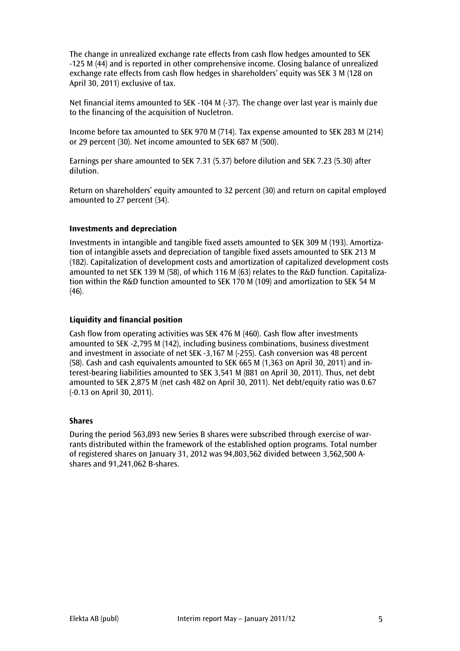The change in unrealized exchange rate effects from cash flow hedges amounted to SEK -125 M (44) and is reported in other comprehensive income. Closing balance of unrealized exchange rate effects from cash flow hedges in shareholders' equity was SEK 3 M (128 on April 30, 2011) exclusive of tax.

Net financial items amounted to SEK -104 M (-37). The change over last year is mainly due to the financing of the acquisition of Nucletron.

Income before tax amounted to SEK 970 M (714). Tax expense amounted to SEK 283 M (214) or 29 percent (30). Net income amounted to SEK 687 M (500).

Earnings per share amounted to SEK 7.31 (5.37) before dilution and SEK 7.23 (5.30) after dilution.

Return on shareholders' equity amounted to 32 percent (30) and return on capital employed amounted to 27 percent (34).

### **Investments and depreciation**

Investments in intangible and tangible fixed assets amounted to SEK 309 M (193). Amortization of intangible assets and depreciation of tangible fixed assets amounted to SEK 213 M (182). Capitalization of development costs and amortization of capitalized development costs amounted to net SEK 139 M (58), of which 116 M (63) relates to the R&D function. Capitalization within the R&D function amounted to SEK 170 M (109) and amortization to SEK 54 M  $(46)$ .

#### **Liquidity and financial position**

Cash flow from operating activities was SEK 476 M (460). Cash flow after investments amounted to SEK -2,795 M (142), including business combinations, business divestment and investment in associate of net SEK -3,167 M (-255). Cash conversion was 48 percent (58). Cash and cash equivalents amounted to SEK 665 M (1,363 on April 30, 2011) and interest-bearing liabilities amounted to SEK 3,541 M (881 on April 30, 2011). Thus, net debt amounted to SEK 2,875 M (net cash 482 on April 30, 2011). Net debt/equity ratio was 0.67 (-0.13 on April 30, 2011).

#### **Shares**

During the period 563,893 new Series B shares were subscribed through exercise of warrants distributed within the framework of the established option programs. Total number of registered shares on January 31, 2012 was 94,803,562 divided between 3,562,500 Ashares and 91,241,062 B-shares.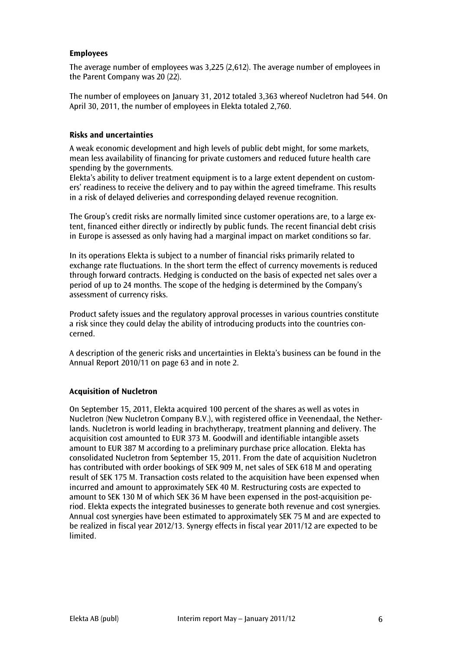### **Employees**

The average number of employees was 3,225 (2,612). The average number of employees in the Parent Company was 20 (22).

The number of employees on January 31, 2012 totaled 3,363 whereof Nucletron had 544. On April 30, 2011, the number of employees in Elekta totaled 2,760.

#### **Risks and uncertainties**

A weak economic development and high levels of public debt might, for some markets, mean less availability of financing for private customers and reduced future health care spending by the governments.

Elekta's ability to deliver treatment equipment is to a large extent dependent on customers' readiness to receive the delivery and to pay within the agreed timeframe. This results in a risk of delayed deliveries and corresponding delayed revenue recognition.

The Group's credit risks are normally limited since customer operations are, to a large extent, financed either directly or indirectly by public funds. The recent financial debt crisis in Europe is assessed as only having had a marginal impact on market conditions so far.

In its operations Elekta is subject to a number of financial risks primarily related to exchange rate fluctuations. In the short term the effect of currency movements is reduced through forward contracts. Hedging is conducted on the basis of expected net sales over a period of up to 24 months. The scope of the hedging is determined by the Company's assessment of currency risks.

Product safety issues and the regulatory approval processes in various countries constitute a risk since they could delay the ability of introducing products into the countries concerned.

A description of the generic risks and uncertainties in Elekta's business can be found in the Annual Report 2010/11 on page 63 and in note 2.

#### **Acquisition of Nucletron**

On September 15, 2011, Elekta acquired 100 percent of the shares as well as votes in Nucletron (New Nucletron Company B.V.), with registered office in Veenendaal, the Netherlands. Nucletron is world leading in brachytherapy, treatment planning and delivery. The acquisition cost amounted to EUR 373 M. Goodwill and identifiable intangible assets amount to EUR 387 M according to a preliminary purchase price allocation. Elekta has consolidated Nucletron from September 15, 2011. From the date of acquisition Nucletron has contributed with order bookings of SEK 909 M, net sales of SEK 618 M and operating result of SEK 175 M. Transaction costs related to the acquisition have been expensed when incurred and amount to approximately SEK 40 M. Restructuring costs are expected to amount to SEK 130 M of which SEK 36 M have been expensed in the post-acquisition period. Elekta expects the integrated businesses to generate both revenue and cost synergies. Annual cost synergies have been estimated to approximately SEK 75 M and are expected to be realized in fiscal year 2012/13. Synergy effects in fiscal year 2011/12 are expected to be limited.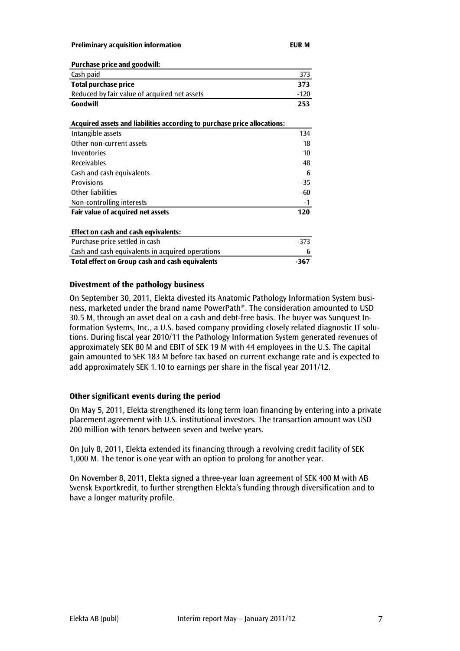**Preliminary acquisition information EUR M**

| <b>Purchase price and goodwill:</b>                                      |        |  |  |  |  |  |
|--------------------------------------------------------------------------|--------|--|--|--|--|--|
| Cash paid                                                                | 373    |  |  |  |  |  |
| <b>Total purchase price</b>                                              | 373    |  |  |  |  |  |
| Reduced by fair value of acquired net assets                             | $-120$ |  |  |  |  |  |
| Goodwill                                                                 | 253    |  |  |  |  |  |
|                                                                          |        |  |  |  |  |  |
| Acquired assets and liabilities according to purchase price allocations: |        |  |  |  |  |  |
| Intangible assets                                                        | 134    |  |  |  |  |  |
| Other non-current assets                                                 | 18     |  |  |  |  |  |
| Inventories                                                              | 10     |  |  |  |  |  |
| <b>Receivables</b>                                                       | 48     |  |  |  |  |  |
| Cash and cash equivalents                                                | 6      |  |  |  |  |  |
| <b>Provisions</b>                                                        | $-35$  |  |  |  |  |  |
| Other liabilities                                                        | -60    |  |  |  |  |  |
| Non-controlling interests                                                | -1     |  |  |  |  |  |
| Fair value of acquired net assets                                        | 120    |  |  |  |  |  |
| Effect on cash and cash eqvivalents:                                     |        |  |  |  |  |  |
| Purchase price settled in cash                                           | $-373$ |  |  |  |  |  |
| Cash and cash equivalents in acquired operations                         | 6      |  |  |  |  |  |
| Total effect on Group cash and cash equivalents                          |        |  |  |  |  |  |
|                                                                          |        |  |  |  |  |  |

#### **Divestment of the pathology business**

On September 30, 2011, Elekta divested its Anatomic Pathology Information System business, marketed under the brand name PowerPath®. The consideration amounted to USD 30.5 M, through an asset deal on a cash and debt-free basis. The buyer was Sunquest Information Systems, Inc., a U.S. based company providing closely related diagnostic IT solutions. During fiscal year 2010/11 the Pathology Information System generated revenues of approximately SEK 80 M and EBIT of SEK 19 M with 44 employees in the U.S. The capital gain amounted to SEK 183 M before tax based on current exchange rate and is expected to add approximately SEK 1.10 to earnings per share in the fiscal year 2011/12.

#### **Other significant events during the period**

On May 5, 2011, Elekta strengthened its long term loan financing by entering into a private placement agreement with U.S. institutional investors. The transaction amount was USD 200 million with tenors between seven and twelve years.

On July 8, 2011, Elekta extended its financing through a revolving credit facility of SEK 1,000 M. The tenor is one year with an option to prolong for another year.

On November 8, 2011, Elekta signed a three-year loan agreement of SEK 400 M with AB Svensk Exportkredit, to further strengthen Elekta's funding through diversification and to have a longer maturity profile.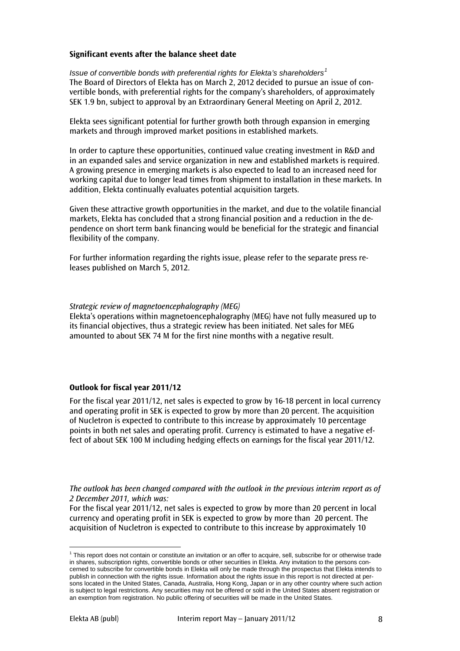#### **Significant events after the balance sheet date**

*Issue of convertible bonds with preferential rights for Elekta's shareholders[1](#page-0-0)* The Board of Directors of Elekta has on March 2, 2012 decided to pursue an issue of convertible bonds, with preferential rights for the company's shareholders, of approximately SEK 1.9 bn, subject to approval by an Extraordinary General Meeting on April 2, 2012.

Elekta sees significant potential for further growth both through expansion in emerging markets and through improved market positions in established markets.

In order to capture these opportunities, continued value creating investment in R&D and in an expanded sales and service organization in new and established markets is required. A growing presence in emerging markets is also expected to lead to an increased need for working capital due to longer lead times from shipment to installation in these markets. In addition, Elekta continually evaluates potential acquisition targets.

Given these attractive growth opportunities in the market, and due to the volatile financial markets, Elekta has concluded that a strong financial position and a reduction in the dependence on short term bank financing would be beneficial for the strategic and financial flexibility of the company.

For further information regarding the rights issue, please refer to the separate press releases published on March 5, 2012.

#### *Strategic review of magnetoencephalography (MEG)*

Elekta's operations within magnetoencephalography (MEG) have not fully measured up to its financial objectives, thus a strategic review has been initiated. Net sales for MEG amounted to about SEK 74 M for the first nine months with a negative result.

#### **Outlook for fiscal year 2011/12**

For the fiscal year 2011/12, net sales is expected to grow by 16-18 percent in local currency and operating profit in SEK is expected to grow by more than 20 percent. The acquisition of Nucletron is expected to contribute to this increase by approximately 10 percentage points in both net sales and operating profit. Currency is estimated to have a negative effect of about SEK 100 M including hedging effects on earnings for the fiscal year 2011/12.

*The outlook has been changed compared with the outlook in the previous interim report as of 2 December 2011, which was:*

For the fiscal year 2011/12, net sales is expected to grow by more than 20 percent in local currency and operating profit in SEK is expected to grow by more than 20 percent. The acquisition of Nucletron is expected to contribute to this increase by approximately 10

 $1$  This report does not contain or constitute an invitation or an offer to acquire, sell, subscribe for or otherwise trade in shares, subscription rights, convertible bonds or other securities in Elekta. Any invitation to the persons concerned to subscribe for convertible bonds in Elekta will only be made through the prospectus that Elekta intends to publish in connection with the rights issue. Information about the rights issue in this report is not directed at persons located in the United States, Canada, Australia, Hong Kong, Japan or in any other country where such action is subject to legal restrictions. Any securities may not be offered or sold in the United States absent registration or an exemption from registration. No public offering of securities will be made in the United States.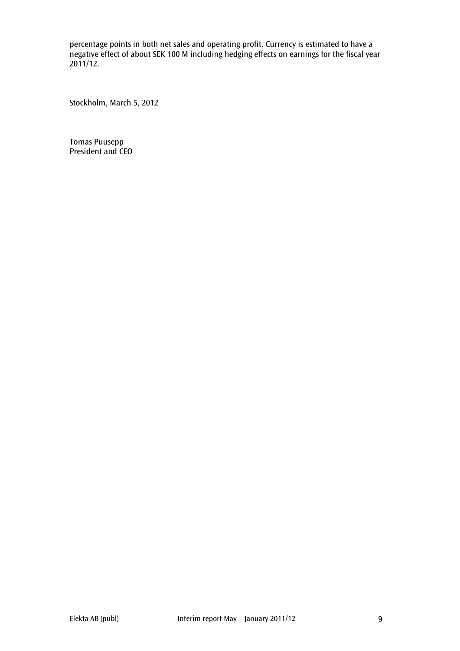percentage points in both net sales and operating profit. Currency is estimated to have a negative effect of about SEK 100 M including hedging effects on earnings for the fiscal year 2011/12.

Stockholm, March 5, 2012

Tomas Puusepp President and CEO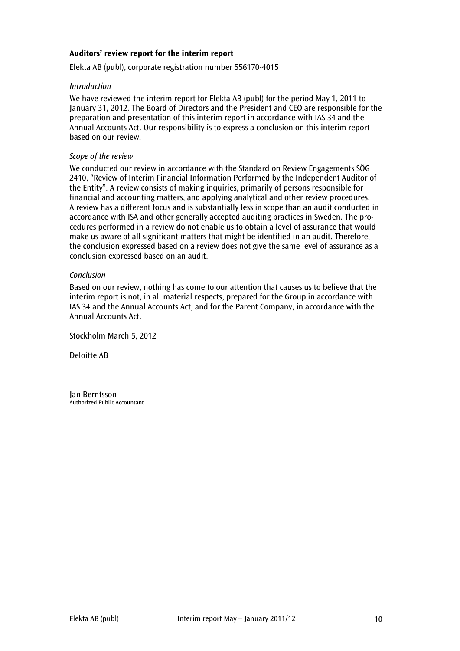#### **Auditors' review report for the interim report**

Elekta AB (publ), corporate registration number 556170-4015

#### *Introduction*

We have reviewed the interim report for Elekta AB (publ) for the period May 1, 2011 to January 31, 2012. The Board of Directors and the President and CEO are responsible for the preparation and presentation of this interim report in accordance with IAS 34 and the Annual Accounts Act. Our responsibility is to express a conclusion on this interim report based on our review.

#### *Scope of the review*

We conducted our review in accordance with the Standard on Review Engagements SÖG 2410, "Review of Interim Financial Information Performed by the Independent Auditor of the Entity". A review consists of making inquiries, primarily of persons responsible for financial and accounting matters, and applying analytical and other review procedures. A review has a different focus and is substantially less in scope than an audit conducted in accordance with ISA and other generally accepted auditing practices in Sweden. The procedures performed in a review do not enable us to obtain a level of assurance that would make us aware of all significant matters that might be identified in an audit. Therefore, the conclusion expressed based on a review does not give the same level of assurance as a conclusion expressed based on an audit.

#### *Conclusion*

Based on our review, nothing has come to our attention that causes us to believe that the interim report is not, in all material respects, prepared for the Group in accordance with IAS 34 and the Annual Accounts Act, and for the Parent Company, in accordance with the Annual Accounts Act.

Stockholm March 5, 2012

Deloitte AB

Jan Berntsson Authorized Public Accountant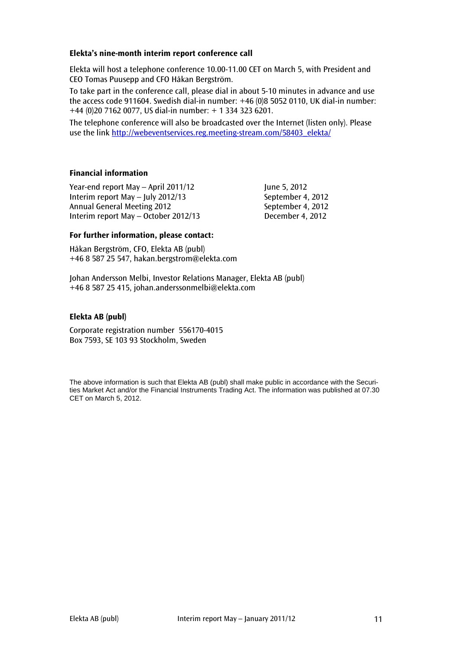### **Elekta's nine-month interim report conference call**

Elekta will host a telephone conference 10.00-11.00 CET on March 5, with President and CEO Tomas Puusepp and CFO Håkan Bergström.

To take part in the conference call, please dial in about 5-10 minutes in advance and use the access code 911604. Swedish dial-in number: +46 (0)8 5052 0110, UK dial-in number: +44 (0)20 7162 0077, US dial-in number: + 1 334 323 6201.

The telephone conference will also be broadcasted over the Internet (listen only). Please use the link [http://webeventservices.reg.meeting-stream.com/58403\\_elekta/](http://webeventservices.reg.meeting-stream.com/58403_elekta/)

### **Financial information**

Year-end report May  $-$  April 2011/12  $\hspace{1.6cm}$  June 5, 2012 Interim report May – July 2012/13 September 4, 2012 Annual General Meeting 2012 September 4, 2012 Interim report May – October 2012/13 December 4, 2012

#### **For further information, please contact:**

Håkan Bergström, CFO, Elekta AB (publ) +46 8 587 25 547, hakan.bergstrom@elekta.com

Johan Andersson Melbi, Investor Relations Manager, Elekta AB (publ) +46 8 587 25 415, [johan.anderssonmelbi@elekta.com](mailto:johan.anderssonmelbi@elekta.com)

### **Elekta AB (publ)**

Corporate registration number 556170-4015 Box 7593, SE 103 93 Stockholm, Sweden

The above information is such that Elekta AB (publ) shall make public in accordance with the Securities Market Act and/or the Financial Instruments Trading Act. The information was published at 07.30 CET on March 5, 2012.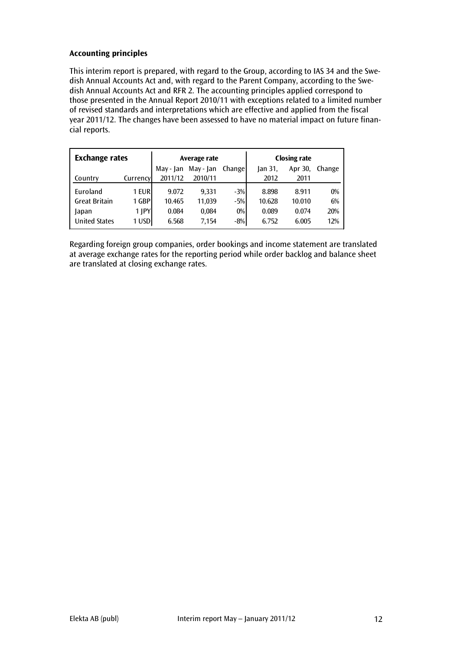## **Accounting principles**

This interim report is prepared, with regard to the Group, according to IAS 34 and the Swedish Annual Accounts Act and, with regard to the Parent Company, according to the Swedish Annual Accounts Act and RFR 2. The accounting principles applied correspond to those presented in the Annual Report 2010/11 with exceptions related to a limited number of revised standards and interpretations which are effective and applied from the fiscal year 2011/12. The changes have been assessed to have no material impact on future financial reports.

| <b>Exchange rates</b> |          |           | Average rate |         | <b>Closing rate</b> |         |        |  |
|-----------------------|----------|-----------|--------------|---------|---------------------|---------|--------|--|
|                       |          | May - Jan | May - Jan    | Changel | Jan 31,             | Apr 30, | Change |  |
| Country               | Currency | 2011/12   | 2010/11      |         | 2012                | 2011    |        |  |
| Euroland              | 1 EUR    | 9.072     | 9.331        | $-3%$   | 8.898               | 8.911   | $0\%$  |  |
| <b>Great Britain</b>  | 1 GBP    | 10.465    | 11,039       | $-5%$   | 10.628              | 10.010  | 6%     |  |
| Japan                 | $1$  PY  | 0.084     | 0,084        | $0\%$   | 0.089               | 0.074   | 20%    |  |
| <b>United States</b>  | 1 USD    | 6.568     | 7,154        | $-8%$   | 6.752               | 6.005   | 12%    |  |

Regarding foreign group companies, order bookings and income statement are translated at average exchange rates for the reporting period while order backlog and balance sheet are translated at closing exchange rates.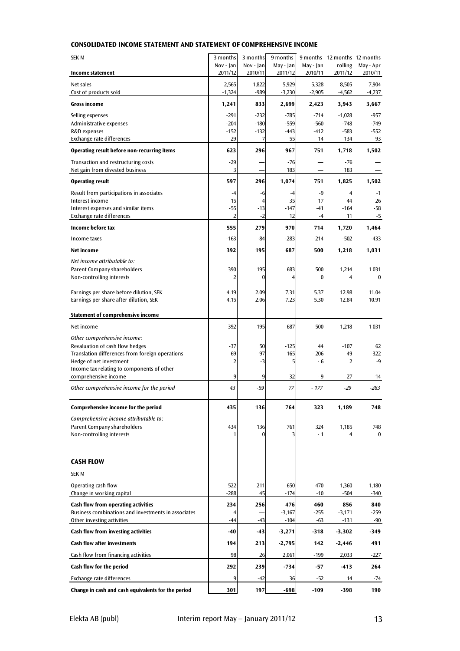#### **CONSOLIDATED INCOME STATEMENT AND STATEMENT OF COMPREHENSIVE INCOME**

| <b>SEK M</b>                                                                      | 3 months                | 3 months             | 9 months             |                      | 9 months 12 months 12 months |                      |
|-----------------------------------------------------------------------------------|-------------------------|----------------------|----------------------|----------------------|------------------------------|----------------------|
| Income statement                                                                  | Nov - Jan<br>2011/12    | Nov - Jan<br>2010/11 | May - Jan<br>2011/12 | May - Jan<br>2010/11 | rolling<br>2011/12           | May - Apr<br>2010/11 |
| Net sales                                                                         | 2,565                   | 1,822                | 5,929                | 5,328                | 8,505                        | 7,904                |
| Cost of products sold                                                             | $-1,324$                | -989                 | $-3,230$             | $-2,905$             | $-4,562$                     | $-4,237$             |
| Gross income                                                                      | 1,241                   | 833                  | 2,699                | 2,423                | 3,943                        | 3,667                |
| Selling expenses                                                                  | $-291$                  | $-232$               | $-785$               | $-714$               | $-1,028$                     | $-957$               |
| Administrative expenses                                                           | $-204$                  | $-180$               | $-559$               | $-560$               | $-748$                       | $-749$               |
| R&D expenses<br>Exchange rate differences                                         | $-152$<br>29            | $-132$<br>7          | $-443$<br>55         | $-412$<br>14         | $-583$<br>134                | $-552$<br>93         |
| Operating result before non-recurring items                                       | 623                     | 296                  | 967                  | 751                  | 1,718                        | 1,502                |
| Transaction and restructuring costs                                               | $-29$                   |                      | $-76$                |                      | $-76$                        |                      |
| Net gain from divested business                                                   | 3                       |                      | 183                  |                      | 183                          |                      |
| <b>Operating result</b>                                                           | 597                     | 296                  | 1,074                | 751                  | 1,825                        | 1,502                |
| Result from participations in associates                                          | $-4$                    | -6                   | $-4$                 | $-9$                 | 4                            | $-1$                 |
| Interest income                                                                   | 15                      | $\overline{4}$       | 35                   | 17                   | 44                           | 26                   |
| Interest expenses and similar items<br>Exchange rate differences                  | $-55$<br>$\overline{2}$ | $-13$<br>$-2$        | $-147$<br>12         | $-41$<br>$-4$        | $-164$<br>11                 | $-58$<br>$-5$        |
| Income before tax                                                                 | 555                     | 279                  | 970                  | 714                  | 1,720                        | 1,464                |
| Income taxes                                                                      | $-163$                  | $-84$                | $-283$               | $-214$               | $-502$                       | -433                 |
| Net income                                                                        | 392                     | 195                  | 687                  | 500                  | 1,218                        | 1,031                |
| Net income attributable to:                                                       |                         |                      |                      |                      |                              |                      |
| Parent Company shareholders                                                       | 390                     | 195                  | 683                  | 500                  | 1,214                        | 1031                 |
| Non-controlling interests                                                         | 2                       | $\theta$             | 4                    | $\bf{0}$             | 4                            | $\mathbf{0}$         |
| Earnings per share before dilution, SEK                                           | 4.19                    | 2.09                 | 7.31                 | 5.37                 | 12.98                        | 11.04                |
| Earnings per share after dilution, SEK                                            | 4.15                    | 2.06                 | 7.23                 | 5.30                 | 12.84                        | 10.91                |
| Statement of comprehensive income                                                 |                         |                      |                      |                      |                              |                      |
| Net income                                                                        | 392                     | 195                  | 687                  | 500                  |                              | 1031                 |
|                                                                                   |                         |                      |                      |                      | 1,218                        |                      |
| Other comprehensive income:<br>Revaluation of cash flow hedges                    | $-37$                   | 50                   | $-125$               | 44                   | $-107$                       | 62                   |
| Translation differences from foreign operations                                   | 69                      | $-97$                | 165                  | $-206$               | 49                           | $-322$               |
| Hedge of net investment                                                           | 2                       | $-3$                 | 5                    | $-6$                 | $\overline{2}$               | $-9$                 |
| Income tax relating to components of other                                        |                         |                      |                      |                      |                              |                      |
| comprehensive income                                                              | 9                       | $-9$                 | 32                   | - 9                  | 27                           | -14                  |
| Other comprehensive income for the period                                         | 43                      | - 59                 | 77                   | $-177$               | $-29$                        | $-283$               |
| <b>Comprehensive income for the period</b>                                        | 435                     | 136                  | 764                  | 323                  | 1,189                        | 748                  |
| Comprehensive income attributable to:                                             |                         |                      |                      |                      |                              |                      |
| Parent Company shareholders                                                       | 434                     | 136                  | 761                  | 324                  | 1,185                        | 748                  |
| Non-controlling interests                                                         | 1                       | 0                    | 3                    | $-1$                 | 4                            | $\bf{0}$             |
|                                                                                   |                         |                      |                      |                      |                              |                      |
| <b>CASH FLOW</b>                                                                  |                         |                      |                      |                      |                              |                      |
| <b>SEK M</b>                                                                      |                         |                      |                      |                      |                              |                      |
| Operating cash flow                                                               | 522                     | 211                  | 650                  | 470                  | 1,360                        | 1,180                |
| Change in working capital                                                         | $-288$                  | 45                   | $-174$               | $-10$                | $-504$                       | $-340$               |
| Cash flow from operating activities                                               | 234                     | 256                  | 476                  | 460                  | 856                          | 840                  |
| Business combinations and investments in associates<br>Other investing activities | 4<br>$-44$              | $-43$                | $-3,167$<br>$-104$   | $-255$<br>$-63$      | $-3,171$<br>$-131$           | $-259$<br>$-90$      |
| Cash flow from investing activities                                               | $-40$                   | -43                  | $-3,271$             | $-318$               | $-3,302$                     | -349                 |
| <b>Cash flow after investments</b>                                                | 194                     | 213                  | $-2,795$             | 142                  | $-2,446$                     | 491                  |
| Cash flow from financing activities                                               | 98                      | 26                   | 2,061                | $-199$               | 2,033                        | $-227$               |
| Cash flow for the period                                                          | 292                     | 239                  | $-734$               | -57                  | -413                         | 264                  |
| Exchange rate differences                                                         | 9                       | $-42$                | 36                   | $-52$                | 14                           | -74                  |
| Change in cash and cash equivalents for the period                                | 301                     | 197                  | $-698$               | $-109$               | $-398$                       | 190                  |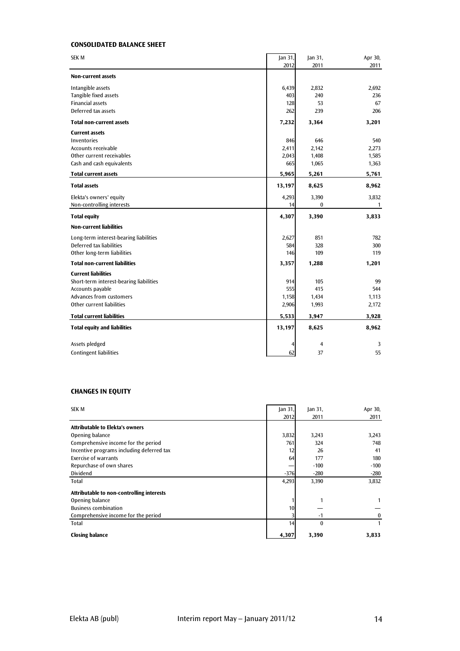#### **CONSOLIDATED BALANCE SHEET**

| <b>SEK M</b>                            | Jan 31, | Jan 31,        | Apr 30,      |
|-----------------------------------------|---------|----------------|--------------|
|                                         | 2012    | 2011           | 2011         |
| <b>Non-current assets</b>               |         |                |              |
| Intangible assets                       | 6,439   | 2,832          | 2,692        |
| Tangible fixed assets                   | 403     | 240            | 236          |
| <b>Financial assets</b>                 | 128     | 53             | 67           |
| Deferred tax assets                     | 262     | 239            | 206          |
| <b>Total non-current assets</b>         | 7,232   | 3,364          | 3,201        |
| <b>Current assets</b>                   |         |                |              |
| <b>Inventories</b>                      | 846     | 646            | 540          |
| Accounts receivable                     | 2,411   | 2,142          | 2,273        |
| Other current receivables               | 2,043   | 1,408          | 1,585        |
| Cash and cash equivalents               | 665     | 1,065          | 1,363        |
| <b>Total current assets</b>             | 5,965   | 5,261          | 5,761        |
| <b>Total assets</b>                     | 13,197  | 8,625          | 8,962        |
| Elekta's owners' equity                 | 4,293   | 3,390          | 3,832        |
| Non-controlling interests               | 14      | 0              | $\mathbf{1}$ |
| <b>Total equity</b>                     | 4,307   | 3,390          | 3,833        |
| <b>Non-current liabilities</b>          |         |                |              |
| Long-term interest-bearing liabilities  | 2,627   | 851            | 782          |
| Deferred tax liabilities                | 584     | 328            | 300          |
| Other long-term liabilities             | 146     | 109            | 119          |
| <b>Total non-current liabilities</b>    | 3,357   | 1,288          | 1,201        |
| <b>Current liabilities</b>              |         |                |              |
| Short-term interest-bearing liabilities | 914     | 105            | 99           |
| Accounts payable                        | 555     | 415            | 544          |
| Advances from customers                 | 1,158   | 1,434          | 1,113        |
| Other current liabilities               | 2,906   | 1,993          | 2,172        |
| <b>Total current liabilities</b>        | 5,533   | 3,947          | 3,928        |
| <b>Total equity and liabilities</b>     | 13,197  | 8,625          | 8,962        |
| Assets pledged                          | 4       | $\overline{4}$ | 3            |
| <b>Contingent liabilities</b>           | 62      | 37             | 55           |
|                                         |         |                |              |

#### **CHANGES IN EQUITY**

| <b>SEK M</b>                              | Jan 31, | an 31        | Apr 30, |
|-------------------------------------------|---------|--------------|---------|
|                                           | 2012    | 2011         | 2011    |
| <b>Attributable to Elekta's owners</b>    |         |              |         |
| Opening balance                           | 3,832   | 3,243        | 3,243   |
| Comprehensive income for the period       | 761     | 324          | 748     |
| Incentive programs including deferred tax | 12      | 26           | 41      |
| Exercise of warrants                      | 64      | 177          | 180     |
| Repurchase of own shares                  |         | $-100$       | $-100$  |
| <b>Dividend</b>                           | $-376$  | $-280$       | $-280$  |
| Total                                     | 4,293   | 3,390        | 3,832   |
| Attributable to non-controlling interests |         |              |         |
| Opening balance                           |         | 1            |         |
| <b>Business combination</b>               | 10      |              |         |
| Comprehensive income for the period       |         | $-1$         |         |
| <b>Total</b>                              | 14      | $\mathbf{0}$ |         |
| <b>Closing balance</b>                    | 4,307   | 3,390        | 3,833   |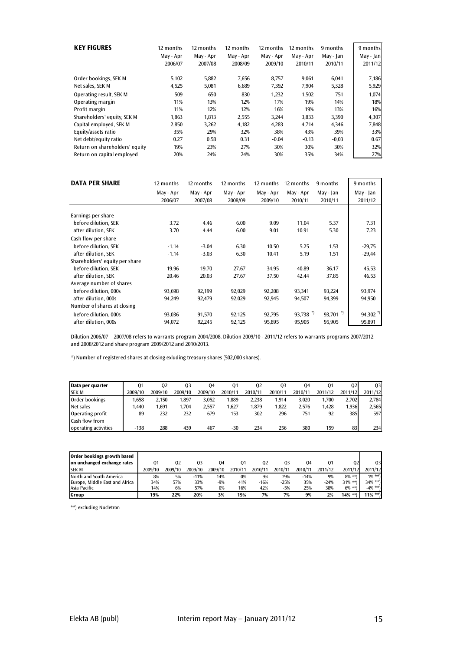| <b>KEY FIGURES</b>             | 12 months<br>May - Apr<br>2006/07 | 12 months<br>May - Apr<br>2007/08 | 12 months<br>May - Apr<br>2008/09 | 12 months<br>May - Apr<br>2009/10 | 12 months<br>May - Apr<br>2010/11 | 9 months<br>May - Jan<br>2010/11 | 9 months<br>May - Jan<br>2011/12 |
|--------------------------------|-----------------------------------|-----------------------------------|-----------------------------------|-----------------------------------|-----------------------------------|----------------------------------|----------------------------------|
|                                |                                   |                                   |                                   |                                   |                                   |                                  |                                  |
| Order bookings, SEK M          | 5,102                             | 5,882                             | 7,656                             | 8,757                             | 9,061                             | 6,041                            | 7,186                            |
| Net sales, SEK M               | 4,525                             | 5,081                             | 6,689                             | 7,392                             | 7,904                             | 5,328                            | 5,929                            |
| Operating result, SEK M        | 509                               | 650                               | 830                               | 1,232                             | 1,502                             | 751                              | 1,074                            |
| Operating margin               | 11%                               | 13%                               | 12%                               | 17%                               | 19%                               | 14%                              | 18%                              |
| Profit margin                  | 11%                               | 12%                               | 12%                               | 16%                               | 19%                               | 13%                              | 16%                              |
| Shareholders' equity, SEK M    | 1.863                             | 1,813                             | 2,555                             | 3,244                             | 3,833                             | 3,390                            | 4,307                            |
| Capital employed, SEK M        | 2,850                             | 3,262                             | 4.182                             | 4.283                             | 4.714                             | 4.346                            | 7,848                            |
| Equity/assets ratio            | 35%                               | 29%                               | 32%                               | 38%                               | 43%                               | 39%                              | 33%                              |
| Net debt/equity ratio          | 0.27                              | 0.58                              | 0.31                              | $-0.04$                           | $-0.13$                           | $-0.03$                          | 0.67                             |
| Return on shareholders' equity | 19%                               | 23%                               | 27%                               | 30%                               | 30%                               | 30%                              | 32%                              |
| Return on capital employed     | 20%                               | 24%                               | 24%                               | 30%                               | 35%                               | 34%                              | 27%                              |

| <b>DATA PER SHARE</b>          | 12 months | 12 months | 12 months | 12 months | 12 months  | 9 months     | 9 months  |
|--------------------------------|-----------|-----------|-----------|-----------|------------|--------------|-----------|
|                                | May - Apr | May - Apr | May - Apr | May - Apr | May - Apr  | May - Jan    | May - Jan |
|                                | 2006/07   | 2007/08   | 2008/09   | 2009/10   | 2010/11    | 2010/11      | 2011/12   |
|                                |           |           |           |           |            |              |           |
| Earnings per share             |           |           |           |           |            |              |           |
| before dilution, SEK           | 3.72      | 4.46      | 6.00      | 9.09      | 11.04      | 5.37         | 7.31      |
| after dilution, SEK            | 3.70      | 4.44      | 6.00      | 9.01      | 10.91      | 5.30         | 7.23      |
| Cash flow per share            |           |           |           |           |            |              |           |
| before dilution. SEK           | $-1.14$   | $-3.04$   | 6.30      | 10.50     | 5.25       | 1.53         | $-29,75$  |
| after dilution, SEK            | $-1.14$   | $-3.03$   | 6.30      | 10.41     | 5.19       | 1.51         | $-29,44$  |
| Shareholders' equity per share |           |           |           |           |            |              |           |
| before dilution, SEK           | 19.96     | 19.70     | 27.67     | 34.95     | 40.89      | 36.17        | 45.53     |
| after dilution, SEK            | 20.46     | 20.03     | 27.67     | 37.50     | 42.44      | 37.85        | 46.53     |
| Average number of shares       |           |           |           |           |            |              |           |
| before dilution, 000s          | 93,698    | 92,199    | 92,029    | 92,208    | 93,341     | 93,224       | 93,974    |
| after dilution, 000s           | 94,249    | 92,479    | 92,029    | 92,945    | 94,507     | 94,399       | 94,950    |
| Number of shares at closing    |           |           |           |           |            |              |           |
| before dilution, 000s          | 93,036    | 91,570    | 92,125    | 92,795    | 93,738 $*$ | *)<br>93,701 | 94,302    |
| after dilution, 000s           | 94.072    | 92,245    | 92,125    | 95,895    | 95.905     | 95,905       | 95,891    |

Dilution 2006/07 – 2007/08 refers to warrants program 2004/2008. Dilution 2009/10 - 2011/12 refers to warrants programs 2007/2012 and 2008/2012 and share program 2009/2012 and 2010/2013.

\*) Number of registered shares at closing exluding treasury shares (502,000 shares).

| Data per quarter      | 01      | 02      | 03      | 04      | 01      | 02      | 03      | 04      | 01      | 02      | 03      |
|-----------------------|---------|---------|---------|---------|---------|---------|---------|---------|---------|---------|---------|
| <b>SEK M</b>          | 2009/10 | 2009/10 | 2009/10 | 2009/10 | 2010/11 | 2010/11 | 2010/11 | 2010/11 | 2011/12 | 2011/12 | 2011/12 |
| Order bookings        | .658    | 2.150   | .897    | 3.052   | .889    | 2.238   | 1.914   | 3.020   | .700    | 2.702   | 2.784   |
| Net sales             | .440    | 1.691   | .704    | 2.557   | 1.627   | .879    | 1.822   | 2.576   | 1.428   | 1,936   | 2,565   |
| Operating profit      | 89      | 232     | 232     | 679     | 153     | 302     | 296     | 751     | 92      | 385     | 597     |
| <b>Cash flow from</b> |         |         |         |         |         |         |         |         |         |         |         |
| operating activities  | $-138$  | 288     | 439     | 467     | $-30$   | 234     | 256     | 380     | 159     | 83      | 234     |

| Order bookings growth based    |         |         |         |         |         |         |         |         |         |            |            |
|--------------------------------|---------|---------|---------|---------|---------|---------|---------|---------|---------|------------|------------|
| on unchanged exchange rates    | 01      | 02      | 03      | 04      | 01      | 02      | 03      | 04      | 01      | 02         | 03         |
| <b>SEKM</b>                    | 2009/10 | 2009/10 | 2009/10 | 2009/10 | 2010/11 | 2010/11 | 2010/11 | 2010/11 | 2011/12 | 2011/12    | 2011/12    |
| North and South America        | 8%      | 5%      | $-11%$  | 14%     | 0%      | 9%      | 79%     | $-14%$  | 9%      | $8\%$ **)  | $1\% * *$  |
| Europe, Middle East and Africa | 34%     | 57%     | 33%     | $-9%$   | 41%     | $-16%$  | $-25%$  | 35%     | $-24%$  | $31\%$ **) | $34\% * *$ |
| Asia Pacific                   | 14%     | 6%      | 57%     | 0%      | 16%     | 42%     | $-5%$   | 25%     | 38%     | $6\%$ **)  | $-4\% * *$ |
| Group                          | 19%     | 22%     | 20%     | 3%      | 19%     | 7%      | 7%      | 9%      | 2%      | $14\%$ **) | $11\%$ **) |

\*\*) excluding Nucletron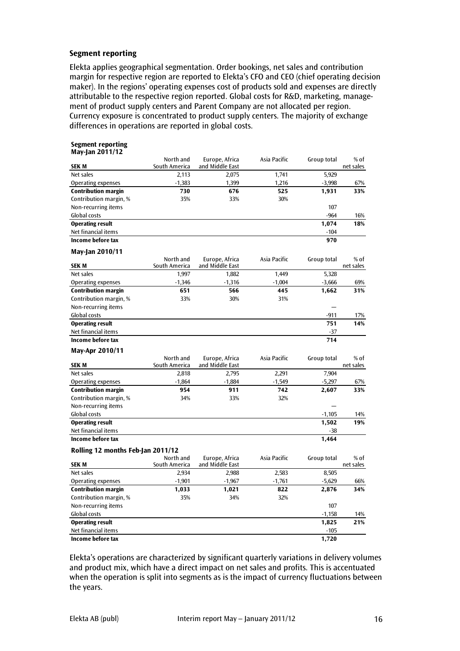#### **Segment reporting**

Elekta applies geographical segmentation. Order bookings, net sales and contribution margin for respective region are reported to Elekta's CFO and CEO (chief operating decision maker). In the regions' operating expenses cost of products sold and expenses are directly attributable to the respective region reported. Global costs for R&D, marketing, management of product supply centers and Parent Company are not allocated per region. Currency exposure is concentrated to product supply centers. The majority of exchange differences in operations are reported in global costs.

#### **Segment reporting May-Jan 2011/12**

| SEK M                             | North and<br>South America | Europe, Africa<br>and Middle East | Asia Pacific | Group total | % of<br>net sales   |
|-----------------------------------|----------------------------|-----------------------------------|--------------|-------------|---------------------|
| Net sales                         | 2,113                      | 2,075                             | 1,741        | 5,929       |                     |
| Operating expenses                | $-1,383$                   | 1,399                             | 1,216        | $-3,998$    | 67%                 |
| <b>Contribution margin</b>        | 730                        | 676                               | 525          | 1,931       | 33%                 |
| Contribution margin, %            | 35%                        | 33%                               | 30%          |             |                     |
| Non-recurring items               |                            |                                   |              | 107         |                     |
| Global costs                      |                            |                                   |              | $-964$      | 16%                 |
| <b>Operating result</b>           |                            |                                   |              | 1,074       | 18%                 |
| Net financial items               |                            |                                   |              | $-104$      |                     |
| Income before tax                 |                            |                                   |              | 970         |                     |
| May-Jan 2010/11                   |                            |                                   |              |             |                     |
| <b>SEK M</b>                      | North and<br>South America | Europe, Africa<br>and Middle East | Asia Pacific | Group total | % of<br>net sales   |
| Net sales                         | 1,997                      | 1,882                             | 1,449        | 5,328       |                     |
| Operating expenses                | $-1,346$                   | $-1,316$                          | $-1,004$     | $-3,666$    | 69%                 |
| <b>Contribution margin</b>        | 651                        | 566                               | 445          | 1,662       | 31%                 |
| Contribution margin, %            | 33%                        | 30%                               | 31%          |             |                     |
| Non-recurring items               |                            |                                   |              |             |                     |
| Global costs                      |                            |                                   |              | $-911$      | 17%                 |
| <b>Operating result</b>           |                            |                                   |              | 751         | 14%                 |
| Net financial items               |                            |                                   |              | $-37$       |                     |
| Income before tax                 |                            |                                   |              | 714         |                     |
| May-Apr 2010/11                   |                            |                                   |              |             |                     |
| <b>SEK M</b>                      | North and<br>South America | Europe, Africa<br>and Middle East | Asia Pacific | Group total | $%$ of<br>net sales |
| Net sales                         | 2,818                      | 2,795                             | 2,291        | 7,904       |                     |
| Operating expenses                | $-1,864$                   | $-1,884$                          | $-1,549$     | $-5,297$    | 67%                 |
| <b>Contribution margin</b>        | 954                        | 911                               | 742          | 2,607       | 33%                 |
| Contribution margin, %            | 34%                        | 33%                               | 32%          |             |                     |
| Non-recurring items               |                            |                                   |              |             |                     |
| Global costs                      |                            |                                   |              | $-1,105$    | 14%                 |
| <b>Operating result</b>           |                            |                                   |              | 1,502       | 19%                 |
| Net financial items               |                            |                                   |              | $-38$       |                     |
| Income before tax                 |                            |                                   |              | 1,464       |                     |
|                                   |                            |                                   |              |             |                     |
| Rolling 12 months Feb-Jan 2011/12 | North and                  |                                   |              |             |                     |
| <b>SEK M</b>                      | South America              | Europe, Africa<br>and Middle East | Asia Pacific | Group total | % of<br>net sales   |
| Net sales                         | 2,934                      | 2,988                             | 2,583        | 8,505       |                     |
| <b>Operating expenses</b>         | $-1,901$                   | $-1,967$                          | $-1,761$     | $-5,629$    | 66%                 |
| <b>Contribution margin</b>        | 1,033                      | 1,021                             | 822          | 2,876       | 34%                 |
| Contribution margin, %            | 35%                        | 34%                               | 32%          |             |                     |
| Non-recurring items               |                            |                                   |              | 107         |                     |
| Global costs                      |                            |                                   |              | $-1,158$    | 14%                 |
| <b>Operating result</b>           |                            |                                   |              | 1,825       | 21%                 |
| Net financial items               |                            |                                   |              | $-105$      |                     |
| Income before tax                 |                            |                                   |              | 1.720       |                     |
|                                   |                            |                                   |              |             |                     |

Elekta's operations are characterized by significant quarterly variations in delivery volumes and product mix, which have a direct impact on net sales and profits. This is accentuated when the operation is split into segments as is the impact of currency fluctuations between the years.